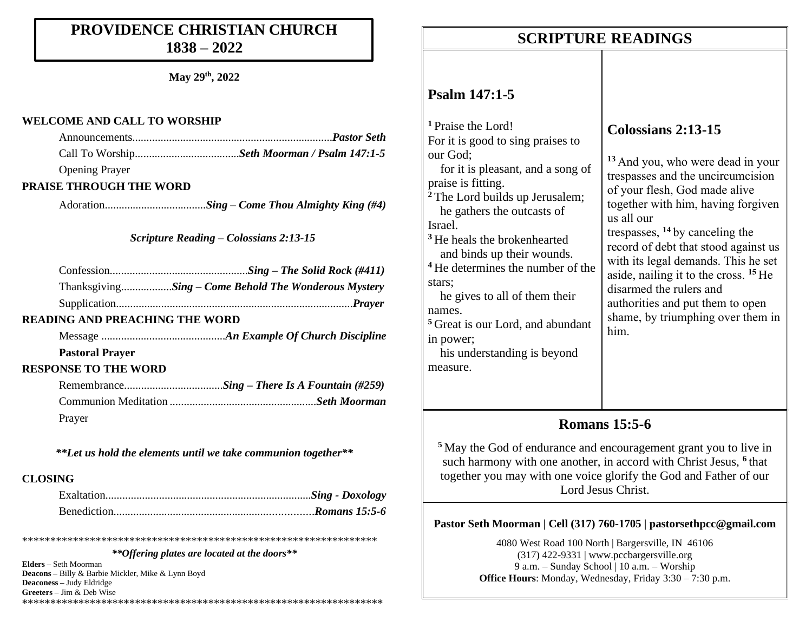## **PROVIDENCE CHRISTIAN CHURCH 1838 – 2022**

**May 29 th, 2022**

#### **WELCOME AND CALL TO WORSHIP**

| <b>Opening Prayer</b> |  |
|-----------------------|--|

#### **PRAISE THROUGH THE WORD**

Adoration..........*..........................Sing – Come Thou Almighty King (#4)*

*Scripture Reading – Colossians 2:13-15*

| ThanksgivingSing – Come Behold The Wonderous Mystery |
|------------------------------------------------------|
|                                                      |

#### **READING AND PREACHING THE WORD**

Message ............................................*An Example Of Church Discipline* **Pastoral Prayer** 

#### **RESPONSE TO THE WORD**

| Prayer |  |
|--------|--|

*\*\*Let us hold the elements until we take communion together\*\**

#### **CLOSING**

\*\*\*\*\*\*\*\*\*\*\*\*\*\*\*\*\*\*\*\*\*\*\*\*\*\*\*\*\*\*\*\*\*\*\*\*\*\*\*\*\*\*\*\*\*\*\*\*\*\*\*\*\*\*\*\*\*\*\*\*\*\*\*

*\*\*Offering plates are located at the doors\*\**

**Elders –** Seth Moorman **Deacons –** Billy & Barbie Mickler, Mike & Lynn Boyd **Deaconess –** Judy Eldridge **Greeters –** Jim & Deb Wise \*\*\*\*\*\*\*\*\*\*\*\*\*\*\*\*\*\*\*\*\*\*\*\*\*\*\*\*\*\*\*\*\*\*\*\*\*\*\*\*\*\*\*\*\*\*\*\*\*\*\*\*\*\*\*\*\*\*\*\*\*\*\*\*

## **SCRIPTURE READINGS SCRIPTURE READINGS**

## **Psalm 147:1-5**

**<sup>1</sup>** Praise the Lord! For it is good to sing praises to our God; for it is pleasant, and a song of praise is fitting. **<sup>2</sup>** The Lord builds up Jerusalem; he gathers the outcasts of Israel. **<sup>3</sup>** He heals the brokenhearted and binds up their wounds. **<sup>4</sup>** He determines the number of the stars; he gives to all of them their names. **<sup>5</sup>** Great is our Lord, and abundant in power; his understanding is beyond measure. him.

## **Colossians 2:13-15**

**<sup>13</sup>** And you, who were dead in your trespasses and the uncircumcision of your flesh, God made alive together with him, having forgiven us all our trespasses, **<sup>14</sup>** by canceling the record of debt that stood against us with its legal demands. This he set aside, nailing it to the cross. **<sup>15</sup>** He disarmed the rulers and authorities and put them to open shame, by triumphing over them in

## **Romans 15:5-6**

**<sup>5</sup>** May the God of endurance and encouragement grant you to live in such harmony with one another, in accord with Christ Jesus, **<sup>6</sup>** that together you may with one voice glorify the God and Father of our Lord Jesus Christ.

### **Pastor Seth Moorman | Cell (317) 760-1705 | pastorsethpcc@gmail.com**

4080 West Road 100 North | Bargersville, IN 46106 (317) 422-9331 | www.pccbargersville.org 9 a.m. – Sunday School | 10 a.m. – Worship **Office Hours**: Monday, Wednesday, Friday 3:30 – 7:30 p.m.